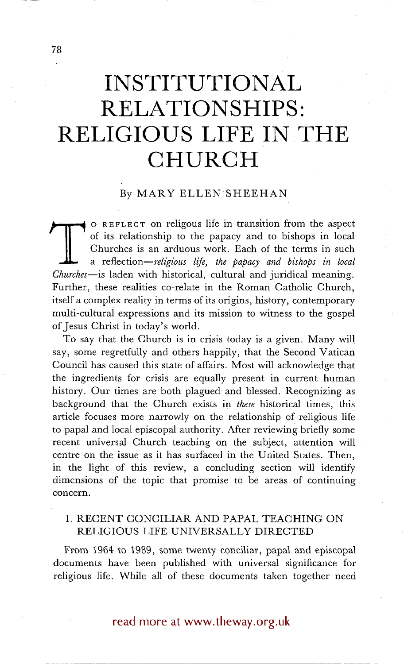# **INSTITUTIONAL RELATIONSHIPS: RELIGIOUS LIFE IN THE CHURCH**

#### By MARY ELLEN SHEEHAN

The contracts of the papacy and to bishops in local<br>Churches is an arduous work. Each of the terms in such<br>a reflection—*religious life, the papacy and bishops in local*<br>Churches—is laden with historical, cultural and juri o REFLECT on religous life in transition from the aspect of its relationship to the papacy and to bishops in local Churches is an arduous work. Each of the terms in such *a reflection--religious life, the papacy and bishops in local*  Further, these realities co-relate in the Roman Catholic Church, itself a complex reality in terms of its origins, history, contemporary multi-cultural expressions and its mission to witness to the gospel of Jesus Christ in today's world.

To say that the Church is in crisis today is a given. Many wil! say, some regretfully and others happily, that the Second Vatican Council has caused this state of affairs. Most will acknowledge that the ingredients for crisis are equally present in current human history. Our times are both plagued and blessed. Recognizing as background that the Church exists in *these* historical times, this article focuses more narrowly on the relationship of religious life to papal and local episcopal authority. After reviewing briefly some recent universal Church teaching on the subject, attention will centre on the issue as it has surfaced in the United States. Then, in the light of this review, a concluding section will identify dimensions of the topic that promise to be areas of continuing concern.

## I. RECENT CONCILIAR AND PAPAL TEACHING ON RELIGIOUS LIFE UNIVERSALLY DIRECTED

From 1964 to 1999, some twenty conciliar, papal and episcopal documents have been published with universal significance for religious life. While all of these documents taken together need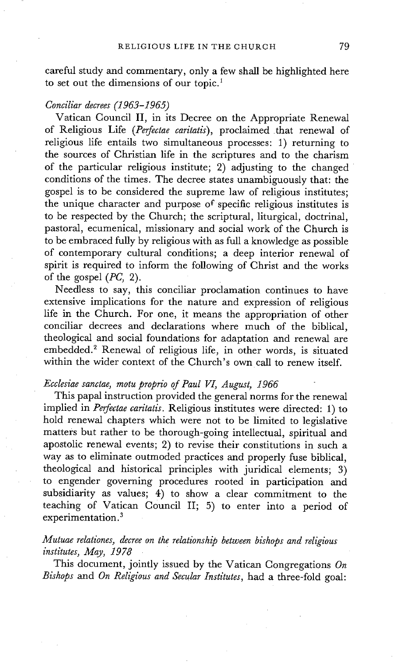careful study and commentary, only a few shall be highlighted here to set out the dimensions of our topic.<sup>1</sup>

#### *Conciliar decrees (1963-1965)*

Vatican Council II, in its Decree on the Appropriate Renewal of Religious Life *(Perfectae caritatis),* proclaimed that renewal of religious life entails two simultaneous processes: 1) returning to the sources of Christian life in the scriptures and to the charism of the particular religious institute; 2) adjusting to the changed conditions of the times. The decree states unambiguously that: the gospel is to be considered the supreme law of religious institutes; the unique character and purpose of specific religious institutes is to be respected by the Church; the scriptural, liturgical, doctrinal, pastoral, ecumenical, missionary and social work of the Church is to be embraced fully by religious with as full a knowledge as possible of contemporary cultural conditions; a deep interior renewal of spirit is required to inform the following of Christ and the works of the gospel *(PC,* 2).

Needless to say, this conciliar proclamation continues to have extensive implications for the nature and expression of religious life in the Church. For one, it means the appropriation of other conciliar decrees and declarations where much of the biblical, theological and social foundations for adaptation and renewal are embedded.<sup>2</sup> Renewal of religious life, in other words, is situated within the wider context of the Church's own call to renew itself.

## *Ecclesiae sanctae, motu proprio of Paul VI, August, 1966*

This papal instruction provided the general norms for the renewal implied in *Perfectae caritatis*. Religious institutes were directed: 1) to hold renewal chapters which were not to be limited to legislative matters but rather to be thorough-going intellectual, spiritual and apostolic renewal events; 2) to revise their constitutions in such a way as to eliminate outmoded practices and properly fuse biblical, theological and historical principles with juridical elements; 3) to engender governing procedures rooted in participation and subsidiarity as values; 4) to show a clear commitment to the teaching of Vatican Council II; 5) to enter into a period of experimentation.<sup>3</sup>

## *Mutuae relationes, decree on the relationship between bishops and religious institutes, May, 1978*

This document, jointly issued by the Vatican Congregations *On Bishops and On Religious and Secular Institutes,* had a three-fold goal: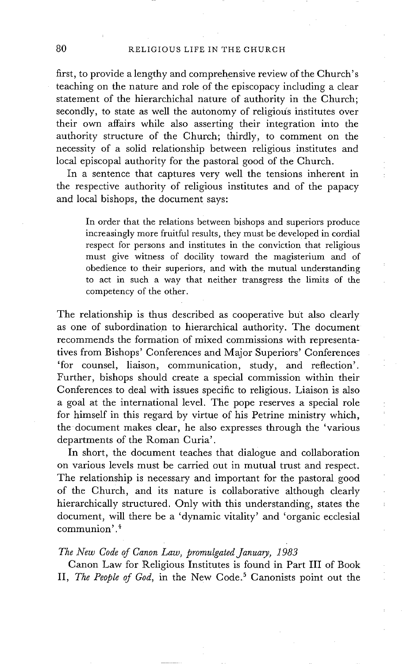#### 80 RELIGIOUS LIFE IN THE CHURCH

first, to provide a lengthy and comprehensive review of the Church's teaching on the nature and role of the episcopacy including a clear statement of the hierarchichal nature of authority in the Church; secondly, to state as well the autonomy of religious institutes over their own affairs while also asserting their integration into the authority structure of the Church; thirdly, to comment on the necessity of a solid relationship between religious institutes and local episcopal authority for the pastoral good of the Church.

In a sentence that captures very well the tensions inherent in the respective authority of religious institutes and of the papacy and local bishops, the document says:

In order that the relations between bishops and superiors produce increasingly more fruitful results, they must be developed in cordial respect for persons and institutes in the conviction that religious must give witness of docility toward the magisterium and of obedience to their superiors, and with the mutual understanding to act in such a way that neither transgress the limits of the competency of the other.

The relationship is thus described as cooperative but also clearly as one of subordination to hierarchical authority. The document recommends the formation of mixed commissions with representatives from Bishops' Conferences and Major Superiors' Conferences 'for counsel, liaison, communication, study, and reflection'. Further, bishops should create a special commission within their Conferences to deal with issues specific to religious. Liaison is also a goal at the international level. The pope reserves a special role for himself in this regard by virtue of his Petrine ministry which, the document makes clear, he also expresses through the 'various departments of the Roman Curia'.

In short, the document teaches that dialogue and collaboration on various levels must be carried out in mutual trust and respect. The relationship is necessary and important for the pastoral good of the Church, and its nature is collaborative although clearly hierarchically structured. Only with this understanding, states the document, will there be a 'dynamic vitality' and 'organic ecclesial communion'. 4

### *The New Code of Canon Law, promulgated January, 1983*

Canon Law for Religious Institutes is found in Part III of Book II, *The People of God*, in the New Code.<sup>5</sup> Canonists point out the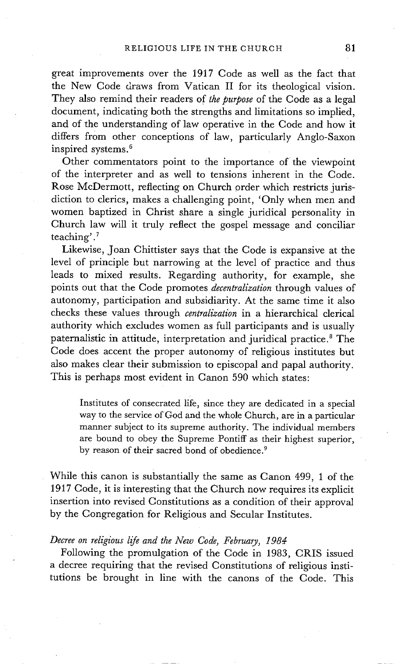great improvements over the 1917 Code as well as the fact that the New Code draws from Vatican II for its theological vision. They also remind their readers of *the purpose* of the Code as a legal document, indicating both the strengths and limitations so implied, and of the understanding of law operative in the Code and how it differs from other conceptions of law, particularly Anglo-Saxon inspired systems. 6

Other commentators point to the importance of the viewpoint of the interpreter and as well to tensions inherent in the Code. Rose McDermott, reflecting on Church order which restricts jurisdiction to clerics, makes a challenging point, 'Only when men and women baptized in Christ share a single juridical personality in Church law will it truly reflect the gospel message and conciliar teaching'. 7

Likewise, Joan Chittister says that the Code is expansive at the level of principle but narrowing at the level of practice and thus leads to mixed results. Regarding authority, for example, she points out that the Code promotes *decentralization* through values of autonomy, participation and subsidiarity. At the same time it also checks these values through *centralization* in a hierarchical clerical authority which excludes women as full participants and is usually paternalistic in attitude, interpretation and juridical practice. 8 The Code does accent the proper autonomy of religious institutes but also makes clear their submission to episcopal and papal authority. This is perhaps most evident in Canon 590 which states:

Institutes of consecrated life, since they are dedicated in a special way to the service of God and the whole Church, are in a particular manner subject to its supreme authority. The individual members are bound to obey the Supreme Pontiff as their highest superior, by reason of their sacred bond of obedience.<sup>9</sup>

While this canon is substantially the same as Canon 499, I of the 1917 Code, it is interesting that the Church now requires its explicit insertion into revised Constitutions as a condition of their approval by the Congregation for Religious and Secular Institutes.

## *Decree on religious life and the New Code, February, 1984*

Following the promulgation of the Code in 1983, CRIS issued a decree requiring that the revised Constitutions of religious institutions be brought in line with the canons of the Code. This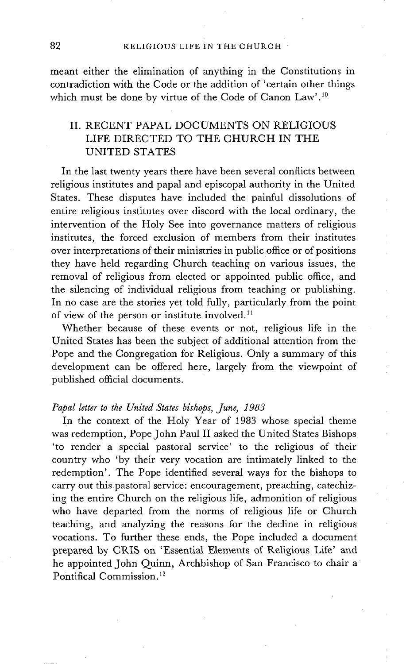meant either the elimination of anything in the Constitutions in contradiction with the Code or the addition of 'certain other things which must be done by virtue of the Code of Canon Law'.<sup>10</sup>

## II. RECENT PAPAL DOCUMENTS ON RELIGIOUS LIFE DIRECTED TO THE CHURCH IN THE UNITED STATES

In the last twenty years there have been several conflicts between religious institutes and papal and episcopal authority in the United States. These disputes have included the painful dissolutions of entire religious institutes over discord with the local ordinary, the intervention of the Holy See into governance matters of religious institutes, the forced exclusion of members from their institutes over interpretations of their ministries in public office or of positions they have held regarding Church teaching on various issues, the removal of religious from elected or appointed public office, and the silencing of individual religious from teaching or publishing. In no case are the stories yet told fully, particularly from the point of view of the person or institute involved. $^{11}$ 

Whether because of these events or not, religious life in the United States has been the subject of additional attention from the Pope and the Congregation for Religious. Only a summary of this development can be offered here, largely from the viewpoint of published official documents.

#### *Papal letter to the United States bishops, June, 1983*

In the context of the Holy Year of 1983 whose special theme was redemption, Pope John Paul II asked the United States Bishops 'to render a special pastoral service' to the religious of their country who 'by their very vocation are intimately linked to the redemption'. The Pope identified several ways for the bishops to carry out this pastoral service: encouragement, preaching, catechizing the entire Church on the religious life, admonition of religious who have departed from the norms of religious life or Church teaching, and analyzing the reasons for the decline in religious vocations. To further these ends, the Pope included a document prepared by CRIS on 'Essential Elements of Religious Life' and he appointed John Quinn, Archbishop of San Francisco to chair a Pontifical Commission. 12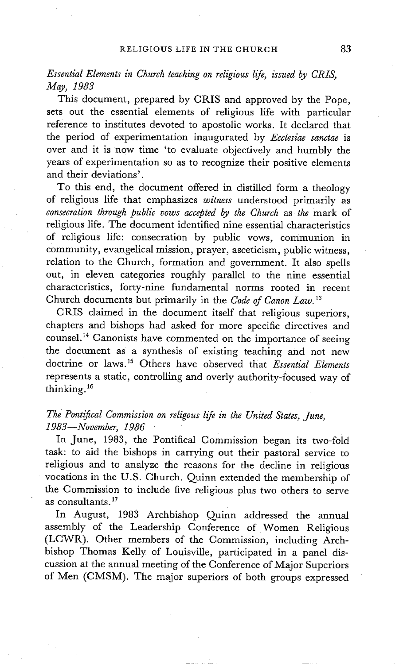## *Essential Elements in Church teaching on religious life, issued by CRIS, May, 1983*

This document, prepared by CRIS and approved by the Pope, sets out the essential elements of religious life with particular reference to institutes devoted to apostolic works. It declared that the period of experimentation inaugurated by *Ecclesiae sanctae* is over and it is now time 'to evaluate objectively and humbly the years of experimentation so as to recognize their positive elements and their deviations'.

To this end, the document offered in distilled form a theology of religious life that emphasizes *witness* understood primarily as *consecration through public vows accepted by the Church* as *the* mark of religious life. The document identified nine essential characteristics of religious life: consecration by public vows, communion in community, evangelical mission, prayer, asceticism, public witness, relation to the Church, formation and government. It also spells out, in eleven categories roughly parallel to the nine essential characteristics, forty-nine fundamental norms rooted in recent Church documents but primarily in the *Code of Canon Law. 13* 

CRIS claimed in the document itself that religious superiors, chapters and bishops had asked for more specific directives and counsel. 14 Canonists have commented on the importance of seeing the document as a synthesis of existing teaching and not new doctrine or laws.<sup>15</sup> Others have observed that *Essential Elements* represents a static, controlling and overly authority-focused way of thinking. 16

## *The Pontifical Commission on religous life in the United States, June, 1983--November, 1986*

In June, 1983, the Pontifical Commission began its two-fold task: to aid the bishops in carrying out their pastoral service to religious and to analyze the reasons for the decline in religious vocations in the U.S. Church. Quinn extended the membership of the Commission to include five religious plus two others to serve as consultants. $17$ 

In August, 1983 Archbishop Quinn addressed the annual assembly of the Leadership Conference of Women Religious (LCWR). Other members of the Commission, including Archbishop Thomas Kelly of Louisville, participated in a panel discussion at the annual meeting of the Conference of Major Superiors of Men (CMSM). The major superiors of both groups expressed

*: i*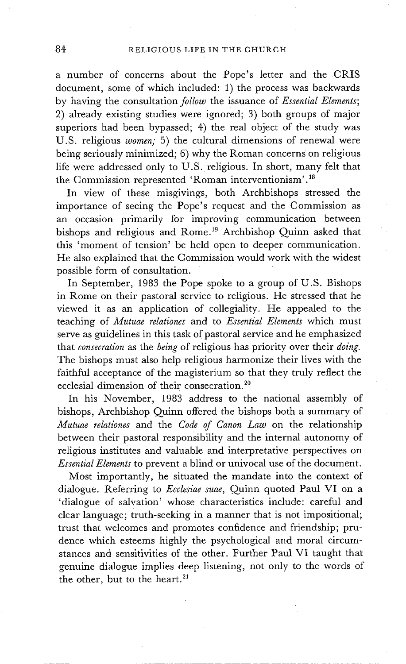a number of concerns about the Pope's letter and the CRIS document, some of which included: 1) the process was backwards by having the consultation *follow* the issuance of *Essential Elements;*  2) already existing studies were ignored; 3) both groups of major superiors had been bypassed; 4) the real object of the study was U.S. religious *women;* 5) the cultural dimensions of renewal were being seriously minimized; 6) why the Roman concerns on religious life were addressed only to U.S. religious. In short, many felt that the Commission represented 'Roman interventionism'.<sup>18</sup>

In view of these misgivings, both Archbishops stressed the importance of seeing the Pope's request and the Commission as an occasion primarily for improving communication between bishops and religious and Rome.<sup>19</sup> Archbishop Quinn asked that this 'moment of tension' be held open to deeper communication. He also explained that the Commission would work with the widest possible form of consultation.

In September, 1983 the Pope spoke to a group of U.S. Bishops in Rome on their pastoral service to religious. He stressed that he viewed it as an application of collegiality. He appealed to the teaching of *Mutuae relationes* and to *Essential Elements* which must serve as guidelines in this task of pastoral service and he emphasized that *consecration* as the *being* of religious has priority over their *doing.*  The bishops must also help religious harmonize their lives with the faithful acceptance of the magisterium so that they truly reflect the ecclesial dimension of their consecration.<sup>20</sup>

In his November, 1983 address to the national assembly of bishops, Archbishop Quinn offered the bishops both a summary of *Mutuae relationes* and the *Code of Canon Law* on the relationship between their pastoral responsibility and the internal autonomy of religious institutes and valuable and interpretative perspectives on *Essential Elements* to prevent a blind or univocal use of the document.

Most importantly, he situated the mandate into the context of dialogue. Referring to *Ecclesiae suae,* Quinn quoted Paul VI on a 'dialogue of salvation' whose characteristics include: careful and clear language; truth-seeking in a manner that is not impositional; trust that welcomes and promotes confidence and friendship; prudence which esteems highly the psychological and moral circumstances and sensitivities of the other. Further Paul VI taught that genuine dialogue implies deep listening, not only to the words of the other, but to the heart.<sup>21</sup>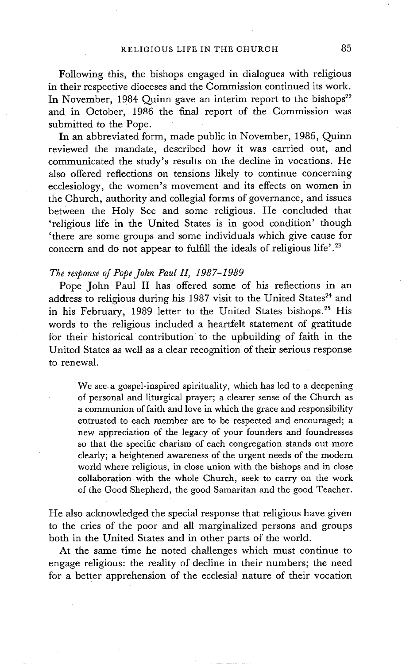Following this, the bishops engaged in dialogues with religious in their respective dioceses and the Commission continued its work. In November, 1984 Quinn gave an interim report to the bishops<sup>22</sup> and in October, 1986 the final report of the Commission was submitted to the Pope.

In an abbreviated form, made public in November, 1986, Quinn reviewed the mandate, described how it was carried out, and communicated the study's results on the decline in vocations. He also offered reflections on tensions likely to continue concerning ecclesiology, the women's movement and its effects on women in the Church, authority and collegial forms of governance, and issues between the Holy See and some religious. He concluded that 'religious life in the United States is in good condition' though 'there are some groups and some individuals which give cause for concern and do not appear to fulfill the ideals of religious life'.<sup>23</sup>

#### *The response of Pope John Paul II, 1987-1989*

Pope John Paul II has offered some of his reflections in an address to religious during his 1987 visit to the United States<sup>24</sup> and in his February, 1989 letter to the United States bishops.<sup>25</sup> His words to the religious included a heartfelt statement of gratitude for their historical contribution to the upbuilding of faith in the United States as well as a clear recognition of their serious response to renewal.

We see a gospel-inspired spirituality, which has led to a deepening of personal and liturgical prayer; a clearer sense of the Church as a communion of faith and love in which the grace and responsibility entrusted to each member are to be respected and encouraged; a new appreciation of the legacy of your founders and foundresses so that the specific charism of each congregation stands out more clearly; a heightened awareness of the urgent needs of the modern world where religious, in close union with the bishops and in close collaboration with the whole Church, seek to carry on the work of the Good Shepherd, the good Samaritan and the good Teacher.

He also acknowledged the special response that religious have given to the cries of the poor and all marginalized persons and groups both in the United States and in other parts of the world.

At the same time he noted challenges which must continue to engage religious: the reality of decline in their numbers; the need for a better apprehension of the ecclesial nature of their vocation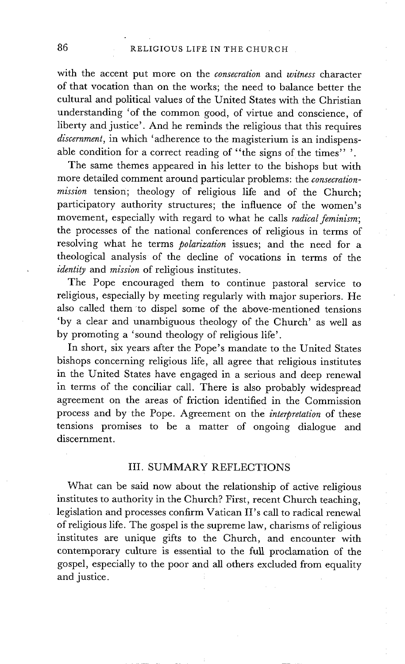with the accent put more on the *consecration* and *witness* character of that vocation than on the works; the need to balance better the cultural and political values of the United States with the Christian understanding 'of the common good, of virtue and conscience, of liberty and justice'. And he reminds the religious that this requires *discernment,* in which 'adherence to the magisterium is an indispensable condition for a correct reading of "the signs of the times"".

The same themes appeared in his letter to the bishops but with more detailed comment around particular problems: the *consecration*mission tension; theology of religious life and of the Church; participatory authority structures; the influence of the women's movement, especially with regard to what he calls *radical feminism;*  the processes of the national conferences of religious in terms of resolving what he terms *polarization* issues; and the need for a theological analysis of the decline of vocations in terms of the *identity* and *mission* of religious institutes.

The Pope encouraged them to continue pastoral service to religious, especially by meeting regularly with major superiors. He also called them to dispel some of the above-mentioned tensions 'by a clear and unambiguous theology of the Church' as well as by promoting a 'sound theology of religious life'.

In short, six years after the Pope's mandate to the United States bishops concerning religious life, all agree that religious institutes in the United States have engaged in a serious and deep renewal in terms of the conciliar call. There is also probably widespread agreement on the areas of friction identified in the Commission process and by the Pope. Agreement on the *interpretation* of these tensions promises to be a matter of ongoing dialogue and discernment.

#### III. SUMMARY REFLECTIONS

What can be said now about the relationship of active religious institutes to authority in the Church? First, recent Church teaching, legislation and processes confirm Vatican II's call to radical renewal of religious life. The gospel is the supreme law, charisms of religious institutes are unique gifts to the Church, and encounter with contemporary culture is essential to the full proclamation of the gospel, especially to the poor and all others excluded from equality and justice.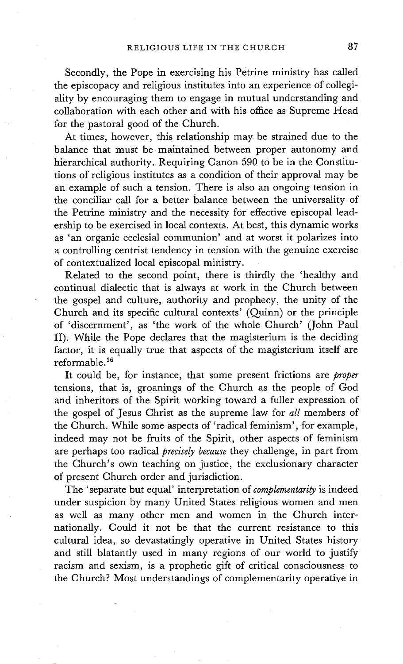Secondly, the Pope in exercising his Petrine ministry has called the episcopacy and religious institutes into an experience of collegiality by encouraging them to engage in mutual understanding and collaboration with each other and with his office as Supreme Head for the pastoral good of the Church.

At times, however, this relationship may be strained due to the balance that must be maintained between proper autonomy and hierarchical authority. Requiring Canon 590 to be in the Constitutions of religious institutes as a condition of their approval may be an example of such a tension. There is also an ongoing tension in the conciliar call for a better balance between the universality of the Petrine ministry and the necessity for effective episcopal leadership to be exercised in local contexts. At best, this dynamic works as 'an organic ecclesial communion' and at worst it polarizes into a controlling centrist tendency in tension with the genuine exercise of contextualized local episcopal ministry.

Related to the second point, there is thirdly the 'healthy and continual dialectic that is always at work in the Church between the gospel and culture, authority and prophecy, the unity of the Church and its specific cultural contexts' (Quinn) or the principle of 'discernment', as 'the work of the whole Church' (John Paul II). While the Pope declares that the magisterium is the deciding factor, it is equally true that aspects of the magisterium itself are reformable. 26

It could be, for instance, that some present frictions are *proper*  tensions, that is, groanings of the Church as the people of God and inheritors of the Spirit working toward a fuller expression of the gospel of Jesus Christ as the supreme law for *all* members of the Church. While some aspects of 'radical feminism', for example, indeed may not be fruits of the Spirit, other aspects of feminism are perhaps too radical *precisely because* they challenge, in part from the Church's own teaching on justice, the exclusionary character of present Church order and jurisdiction.

The 'separate but equal' interpretation of *complementarity* is indeed under suspicion by many United States religious women and men as well as many other men and women in the Church internationally. Could it not be that the current resistance to this cultural idea, so devastatingly operative in United States history and still blatantly used in many regions of our world to justify racism and sexism, is a prophetic gift of critical consciousness to the Church? Most understandings of complementarity operative in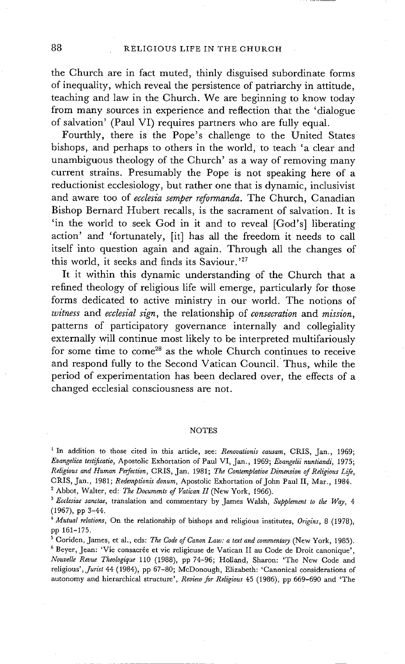the Church are in fact muted, thinly disguised subordinate forms of inequality, which reveal the persistence of patriarchy in attitude, teaching and law in the Church. We are beginning to know today from many sources in experience and reflection that the 'dialogue of salvation' (Paul VI) requires partners who are fully equal.

Fourthly, there is the Pope's challenge to the United States bishops, and perhaps to others in the world, to teach 'a clear and unambiguous theology of the Church' as a way of removing many current strains. Presumably the Pope is not speaking here of a reductionist ecclesiology, but rather one that is dynamic, inclusivist and aware too of *ecclesia semper reformanda.* The Church, Canadian Bishop Bernard Hubert recalls, is the sacrament of salvation. It is 'in the world to seek God in it and to reveal [God's] liberating action' and 'fortunately, [it] has all the freedom it needs to call itself into question again and again. Through all the changes of this world, it seeks and finds its Saviour. '27

It it within this dynamic understanding of the Church that a refined theology of religious life will emerge, particularly for those forms dedicated to active ministry in our world. The notions of *witness* and *ecclesial sign,* the relationship of *consecration and mission,*  patterns of participatory governance internally and collegiality externally will continue most likely to be interpreted multifariously for some time to  $come<sup>28</sup>$  as the whole Church continues to receive and respond fully to the Second Vatican Council. Thus, while the period of experimentation has been declared over, the effects of a changed ecclesial consciousness are not.

#### **NOTES**

<sup>&</sup>lt;sup>1</sup> In addition to those cited in this article, see: *Renovationis causam*, CRIS, Jan., 1969; *Evangelica testificatio,* Apostolic Exhortation of Paul VI, Jan., 1969; *Evangelii nuntiandi,* 1975; *Religious and Human Perfection, CRIS, Jan. 1981; The Contemplative Dimension of Religious Life,* CRIS, Jan., 1981; *Redemptionis donum,* Apostolic Exhortation of John Paul II, Mar., 1984. <sup>2</sup> Abbot, Walter, ed: *The Documents of Vatican II* (New York, 1966).

*<sup>3</sup> Ecclesiae sanctae,* translation and commentary by James Walsh, *Supplement to the Way, 4*  (1967), pp 3-44.

*<sup>4</sup> Mutual relations,* On the relationship of bishops and religious institutes, *Origins,* 8 (1978), pp 161-175.

<sup>5</sup> Coriden, James, et al., eds: *The Code of Canon Law: a text and commentary* (New York, 1985). <sup>6</sup> Beyer, Jean: 'Vie consacrée et vie religieuse de Vatican II au Code de Droit canonique', *NouveUe Revue Theologique* 110 (1988), pp 74-96; Holland, Sharon: 'The New Code and religious', *Jurist* 44 (1984), pp 67-80; McDonough, Elizabeth: 'Canonical considerations of autonomy and hierarchical structure', *Review for Religious* 45 (1986), pp 669-690 and 'The